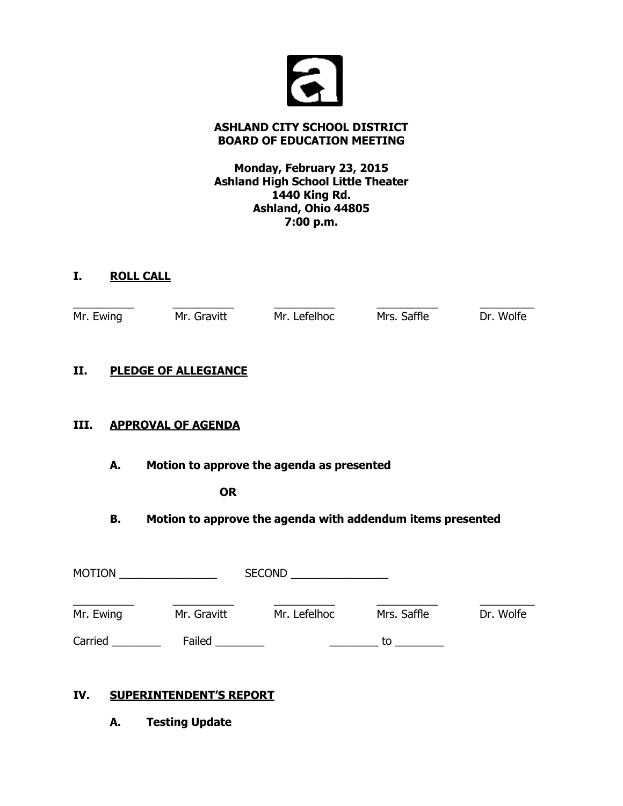

# **ASHLAND CITY SCHOOL DISTRICT BOARD OF EDUCATION MEETING**

# **Monday, February 23, 2015 Ashland High School Little Theater 1440 King Rd. Ashland, Ohio 44805 7:00 p.m.**

# **I. ROLL CALL**

|      | Mr. Ewing | Mr. Gravitt                                                | Mr. Lefelhoc | Mrs. Saffle | Dr. Wolfe |
|------|-----------|------------------------------------------------------------|--------------|-------------|-----------|
| П.   |           | <b>PLEDGE OF ALLEGIANCE</b>                                |              |             |           |
| III. |           | <b>APPROVAL OF AGENDA</b>                                  |              |             |           |
|      | А.        | Motion to approve the agenda as presented                  |              |             |           |
|      |           | <b>OR</b>                                                  |              |             |           |
|      | В.        | Motion to approve the agenda with addendum items presented |              |             |           |
|      |           |                                                            |              |             |           |

| <b>MOTION</b> |             | <b>SECOND</b> |             |           |
|---------------|-------------|---------------|-------------|-----------|
| Mr. Ewing     | Mr. Gravitt | Mr. Lefelhoc  | Mrs. Saffle | Dr. Wolfe |
| Carried       | Failed      |               | tο          |           |

# **IV. SUPERINTENDENT'S REPORT**

**A. Testing Update**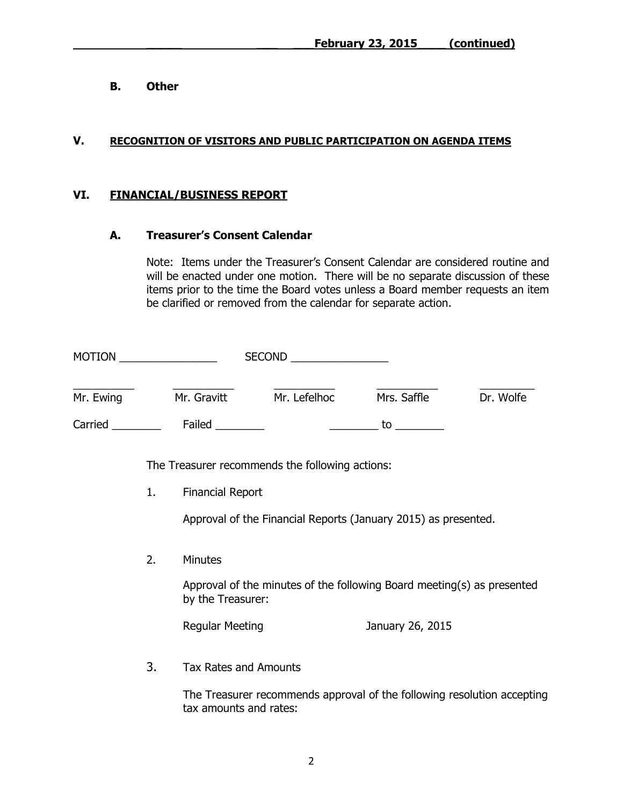**B. Other**

### **V. RECOGNITION OF VISITORS AND PUBLIC PARTICIPATION ON AGENDA ITEMS**

# **VI. FINANCIAL/BUSINESS REPORT**

#### **A. Treasurer's Consent Calendar**

Note: Items under the Treasurer's Consent Calendar are considered routine and will be enacted under one motion. There will be no separate discussion of these items prior to the time the Board votes unless a Board member requests an item be clarified or removed from the calendar for separate action.

|           |    |                              | SECOND __________________                                               |                                                                                                                |           |
|-----------|----|------------------------------|-------------------------------------------------------------------------|----------------------------------------------------------------------------------------------------------------|-----------|
| Mr. Ewing |    |                              | Mr. Gravitt Mr. Lefelhoc                                                | Mrs. Saffle                                                                                                    | Dr. Wolfe |
|           |    |                              | Carried Failed Carried Carried                                          | to to the set of the set of the set of the set of the set of the set of the set of the set of the set of the s |           |
|           |    |                              | The Treasurer recommends the following actions:                         |                                                                                                                |           |
|           | 1. | <b>Financial Report</b>      |                                                                         |                                                                                                                |           |
|           |    |                              | Approval of the Financial Reports (January 2015) as presented.          |                                                                                                                |           |
|           | 2. | <b>Minutes</b>               |                                                                         |                                                                                                                |           |
|           |    | by the Treasurer:            | Approval of the minutes of the following Board meeting(s) as presented  |                                                                                                                |           |
|           |    | <b>Regular Meeting</b>       |                                                                         | January 26, 2015                                                                                               |           |
|           | 3. | <b>Tax Rates and Amounts</b> |                                                                         |                                                                                                                |           |
|           |    | tax amounts and rates:       | The Treasurer recommends approval of the following resolution accepting |                                                                                                                |           |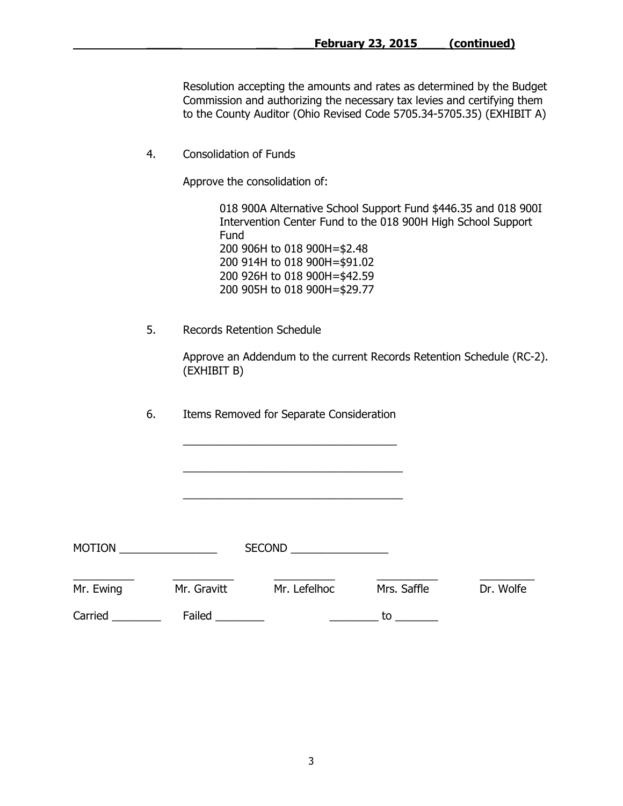Resolution accepting the amounts and rates as determined by the Budget Commission and authorizing the necessary tax levies and certifying them to the County Auditor (Ohio Revised Code 5705.34-5705.35) (EXHIBIT A)

4. Consolidation of Funds

Approve the consolidation of:

018 900A Alternative School Support Fund \$446.35 and 018 900I Intervention Center Fund to the 018 900H High School Support Fund 200 906H to 018 900H=\$2.48 200 914H to 018 900H=\$91.02 200 926H to 018 900H=\$42.59 200 905H to 018 900H=\$29.77

5. Records Retention Schedule

Approve an Addendum to the current Records Retention Schedule (RC-2). (EXHIBIT B)

6.Items Removed for Separate Consideration

\_\_\_\_\_\_\_\_\_\_\_\_\_\_\_\_\_\_\_\_\_\_\_\_\_\_\_\_\_\_\_\_\_\_\_

\_\_\_\_\_\_\_\_\_\_\_\_\_\_\_\_\_\_\_\_\_\_\_\_\_\_\_\_\_\_\_\_\_\_\_\_

\_\_\_\_\_\_\_\_\_\_\_\_\_\_\_\_\_\_\_\_\_\_\_\_\_\_\_\_\_\_\_\_\_\_\_\_

| <b>MOTION</b> |             | <b>SECOND</b> |             |           |
|---------------|-------------|---------------|-------------|-----------|
| Mr. Ewing     | Mr. Gravitt | Mr. Lefelhoc  | Mrs. Saffle | Dr. Wolfe |
| Carried       | Failed      |               | to          |           |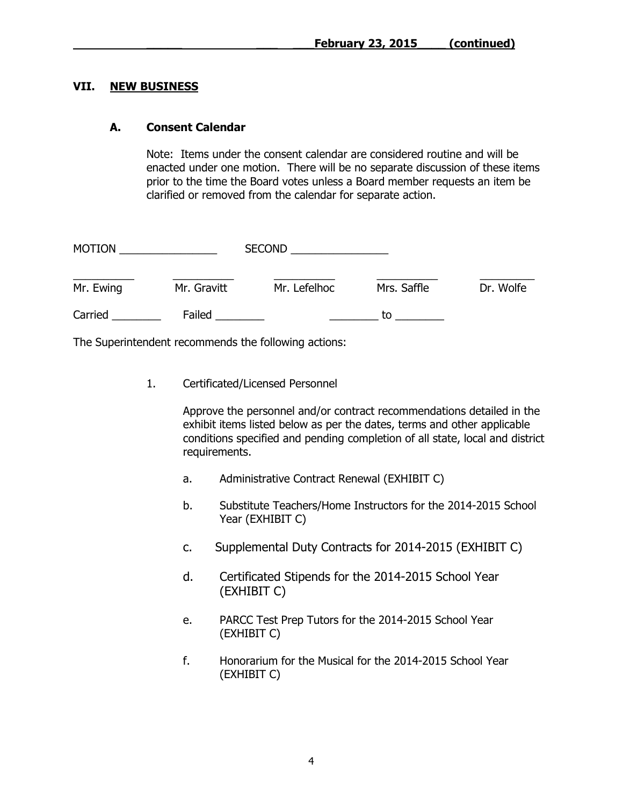#### **VII. NEW BUSINESS**

#### **A. Consent Calendar**

Note: Items under the consent calendar are considered routine and will be enacted under one motion. There will be no separate discussion of these items prior to the time the Board votes unless a Board member requests an item be clarified or removed from the calendar for separate action.

| <b>MOTION</b> |             | <b>SECOND</b> |             |           |
|---------------|-------------|---------------|-------------|-----------|
| Mr. Ewing     | Mr. Gravitt | Mr. Lefelhoc  | Mrs. Saffle | Dr. Wolfe |
| Carried       | Failed      |               | tο          |           |

The Superintendent recommends the following actions:

1. Certificated/Licensed Personnel

Approve the personnel and/or contract recommendations detailed in the exhibit items listed below as per the dates, terms and other applicable conditions specified and pending completion of all state, local and district requirements.

- a. Administrative Contract Renewal (EXHIBIT C)
- b. Substitute Teachers/Home Instructors for the 2014-2015 School Year (EXHIBIT C)
- c. Supplemental Duty Contracts for 2014-2015 (EXHIBIT C)
- d. Certificated Stipends for the 2014-2015 School Year (EXHIBIT C)
- e. PARCC Test Prep Tutors for the 2014-2015 School Year (EXHIBIT C)
- f. Honorarium for the Musical for the 2014-2015 School Year (EXHIBIT C)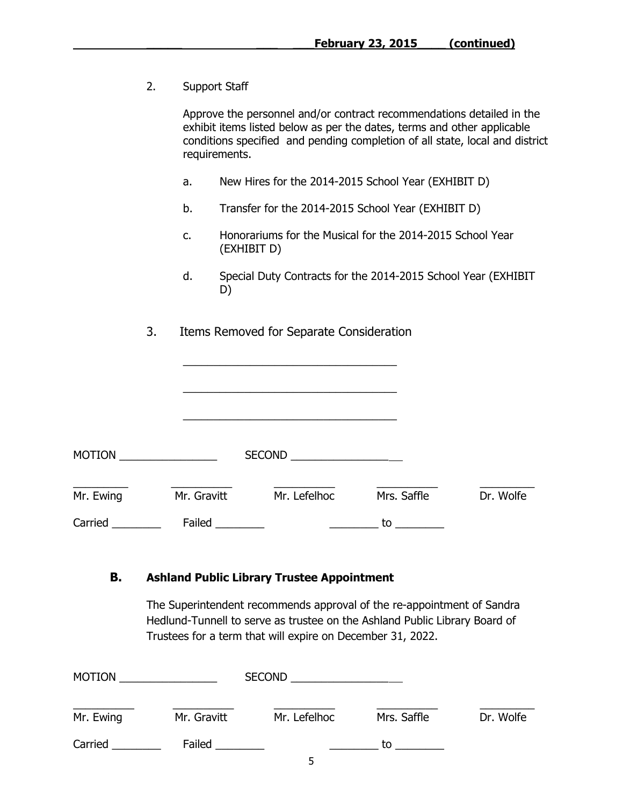2. Support Staff

|           |    | Approve the personnel and/or contract recommendations detailed in the<br>exhibit items listed below as per the dates, terms and other applicable<br>conditions specified and pending completion of all state, local and district<br>requirements. |             |                                                                                                                      |                                                               |           |
|-----------|----|---------------------------------------------------------------------------------------------------------------------------------------------------------------------------------------------------------------------------------------------------|-------------|----------------------------------------------------------------------------------------------------------------------|---------------------------------------------------------------|-----------|
|           |    | a.                                                                                                                                                                                                                                                |             |                                                                                                                      | New Hires for the 2014-2015 School Year (EXHIBIT D)           |           |
|           |    | b.                                                                                                                                                                                                                                                |             |                                                                                                                      | Transfer for the 2014-2015 School Year (EXHIBIT D)            |           |
|           |    | c.                                                                                                                                                                                                                                                | (EXHIBIT D) |                                                                                                                      | Honorariums for the Musical for the 2014-2015 School Year     |           |
|           |    | d.                                                                                                                                                                                                                                                | D)          |                                                                                                                      | Special Duty Contracts for the 2014-2015 School Year (EXHIBIT |           |
|           | 3. |                                                                                                                                                                                                                                                   |             | Items Removed for Separate Consideration                                                                             |                                                               |           |
|           |    |                                                                                                                                                                                                                                                   |             |                                                                                                                      |                                                               |           |
|           |    |                                                                                                                                                                                                                                                   |             | <u> 1989 - Johann John Stein, markin fan it ferstjer fan it ferstjer fan it ferstjer fan it ferstjer fan it fers</u> |                                                               |           |
|           |    |                                                                                                                                                                                                                                                   |             | SECOND ____________________                                                                                          |                                                               |           |
| Mr. Ewing |    | Mr. Gravitt                                                                                                                                                                                                                                       |             | Mr. Lefelhoc                                                                                                         | Mrs. Saffle                                                   | Dr. Wolfe |
| Carried   |    | Failed                                                                                                                                                                                                                                            |             |                                                                                                                      | to                                                            |           |

# **B. Ashland Public Library Trustee Appointment**

The Superintendent recommends approval of the re-appointment of Sandra Hedlund-Tunnell to serve as trustee on the Ashland Public Library Board of Trustees for a term that will expire on December 31, 2022.

| <b>MOTION</b> |             | <b>SECOND</b> |             |           |
|---------------|-------------|---------------|-------------|-----------|
| Mr. Ewing     | Mr. Gravitt | Mr. Lefelhoc  | Mrs. Saffle | Dr. Wolfe |
| Carried       | Failed      | -             | to          |           |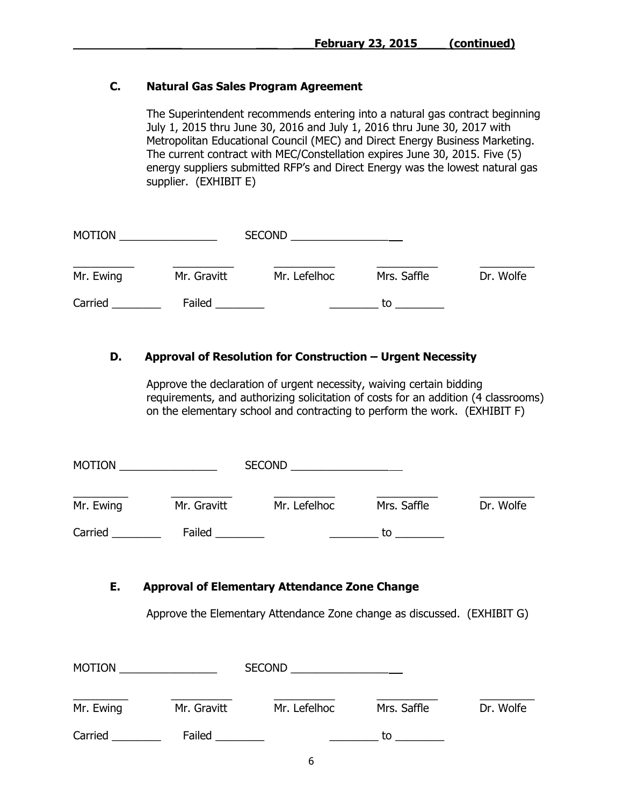# **C. Natural Gas Sales Program Agreement**

The Superintendent recommends entering into a natural gas contract beginning July 1, 2015 thru June 30, 2016 and July 1, 2016 thru June 30, 2017 with Metropolitan Educational Council (MEC) and Direct Energy Business Marketing. The current contract with MEC/Constellation expires June 30, 2015. Five (5) energy suppliers submitted RFP's and Direct Energy was the lowest natural gas supplier. (EXHIBIT E)

| <b>MOTION</b> |             | <b>SECOND</b> |             |           |
|---------------|-------------|---------------|-------------|-----------|
| Mr. Ewing     | Mr. Gravitt | Mr. Lefelhoc  | Mrs. Saffle | Dr. Wolfe |
| Carried       | Failed      |               | tο          |           |

# **D.** Approval of Resolution for Construction – Urgent Necessity

Approve the declaration of urgent necessity, waiving certain bidding requirements, and authorizing solicitation of costs for an addition (4 classrooms) on the elementary school and contracting to perform the work. (EXHIBIT F)

| <b>MOTION</b> |             | <b>SECOND</b> |             |           |  |
|---------------|-------------|---------------|-------------|-----------|--|
| Mr. Ewing     | Mr. Gravitt | Mr. Lefelhoc  | Mrs. Saffle | Dr. Wolfe |  |
| Carried       | Failed      |               | tο          |           |  |

# **E. Approval of Elementary Attendance Zone Change**

Approve the Elementary Attendance Zone change as discussed. (EXHIBIT G)

| <b>MOTION</b> |             | <b>SECOND</b> |             |           |
|---------------|-------------|---------------|-------------|-----------|
| Mr. Ewing     | Mr. Gravitt | Mr. Lefelhoc  | Mrs. Saffle | Dr. Wolfe |
| Carried       | Failed      |               | to          |           |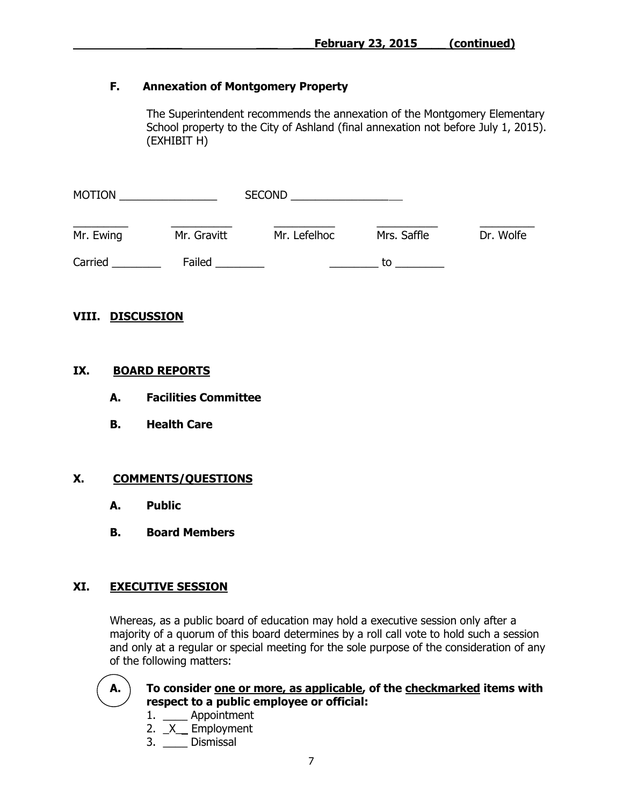# **F. Annexation of Montgomery Property**

The Superintendent recommends the annexation of the Montgomery Elementary School property to the City of Ashland (final annexation not before July 1, 2015). (EXHIBIT H)

| <b>MOTION</b> |             | <b>SECOND</b> |             |           |
|---------------|-------------|---------------|-------------|-----------|
| Mr. Ewing     | Mr. Gravitt | Mr. Lefelhoc  | Mrs. Saffle | Dr. Wolfe |
| Carried       | Failed      |               | tο          |           |

# **VIII. DISCUSSION**

#### **IX. BOARD REPORTS**

- **A. Facilities Committee**
- **B. Health Care**

# **X. COMMENTS/QUESTIONS**

- **A. Public**
- **B. Board Members**

# **XI. EXECUTIVE SESSION**

Whereas, as a public board of education may hold a executive session only after a majority of a quorum of this board determines by a roll call vote to hold such a session and only at a regular or special meeting for the sole purpose of the consideration of any of the following matters:



# **A. To consider one or more, as applicable, of the checkmarked items with respect to a public employee or official:**

- 1. \_\_\_\_ Appointment
- 2. \_X\_\_ Employment
- 3. \_\_\_\_ Dismissal